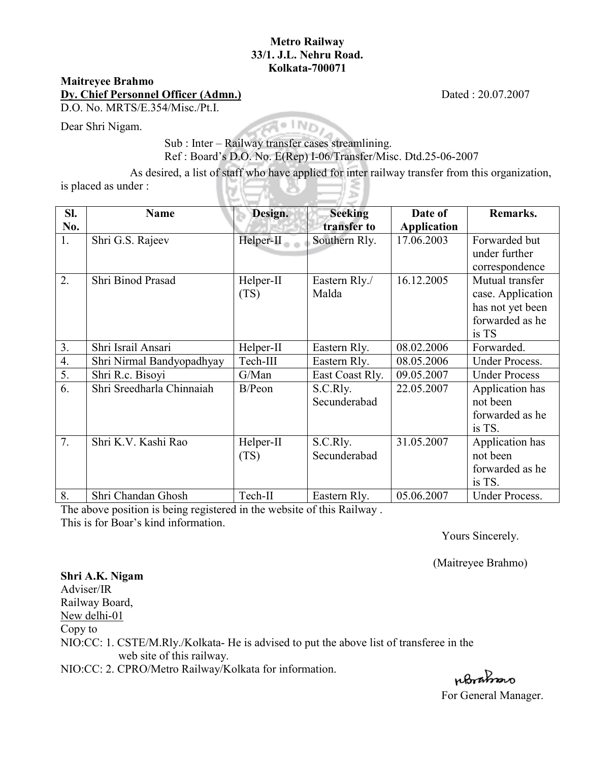## **Metro Railway 33/1. J.L. Nehru Road. Kolkata-700071**

## **Maitreyee Brahmo**

**Dy. Chief Personnel Officer (Admn.)** Dated : 20.07.2007

D.O. No. MRTS/E.354/Misc./Pt.I.

Dear Shri Nigam.

Sub : Inter – Railway transfer cases streamlining. Ref : Board's D.O. No. E(Rep) I-06/Transfer/Misc. Dtd.25-06-2007

As desired, a list of staff who have applied for inter railway transfer from this organization, is placed as under :  $\mathbf{U}$ 

| SI.              | <b>Name</b>               | Design.   | <b>Seeking</b>  | Date of            | Remarks.              |
|------------------|---------------------------|-----------|-----------------|--------------------|-----------------------|
| No.              |                           |           | transfer to     | <b>Application</b> |                       |
| 1.               | Shri G.S. Rajeev          | Helper-II | Southern Rly.   | 17.06.2003         | Forwarded but         |
|                  |                           |           |                 |                    | under further         |
|                  |                           |           |                 |                    | correspondence        |
| 2.               | Shri Binod Prasad         | Helper-II | Eastern Rly./   | 16.12.2005         | Mutual transfer       |
|                  |                           | (TS)      | Malda           |                    | case. Application     |
|                  |                           |           |                 |                    | has not yet been      |
|                  |                           |           |                 |                    | forwarded as he       |
|                  |                           |           |                 |                    | is TS                 |
| 3.               | Shri Israil Ansari        | Helper-II | Eastern Rly.    | 08.02.2006         | Forwarded.            |
| $\overline{4}$ . | Shri Nirmal Bandyopadhyay | Tech-III  | Eastern Rly.    | 08.05.2006         | <b>Under Process.</b> |
| $\overline{5}$ . | Shri R.c. Bisoyi          | G/Man     | East Coast Rly. | 09.05.2007         | <b>Under Process</b>  |
| 6.               | Shri Sreedharla Chinnaiah | B/Peon    | S.C.Rly.        | 22.05.2007         | Application has       |
|                  |                           |           | Secunderabad    |                    | not been              |
|                  |                           |           |                 |                    | forwarded as he       |
|                  |                           |           |                 |                    | is TS.                |
| 7.               | Shri K.V. Kashi Rao       | Helper-II | S.C.Rly.        | 31.05.2007         | Application has       |
|                  |                           | (TS)      | Secunderabad    |                    | not been              |
|                  |                           |           |                 |                    | forwarded as he       |
|                  |                           |           |                 |                    | is TS.                |
| 8.               | Shri Chandan Ghosh        | Tech-II   | Eastern Rly.    | 05.06.2007         | <b>Under Process.</b> |

The above position is being registered in the website of this Railway . This is for Boar's kind information.

Yours Sincerely.

(Maitreyee Brahmo)

**Shri A.K. Nigam**  Adviser/IR Railway Board, New delhi-01 Copy to NIO:CC: 1. CSTE/M.Rly./Kolkata- He is advised to put the above list of transferee in the web site of this railway.

NIO:CC: 2. CPRO/Metro Railway/Kolkata for information.

ubranso

For General Manager.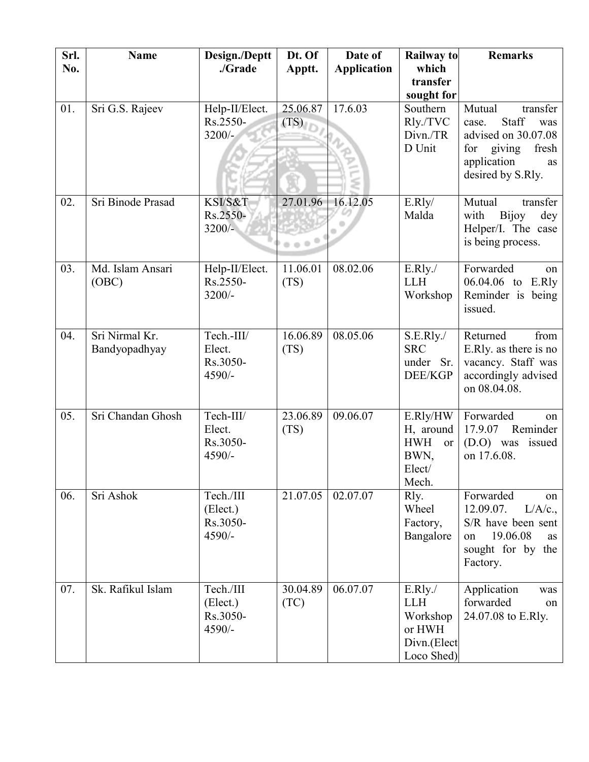| Srl.<br>No. | <b>Name</b>                     | Design./Deptt<br>./Grade                    | Dt. Of<br>Apptt. | Date of<br><b>Application</b> | <b>Railway to</b><br>which<br>transfer                                      | <b>Remarks</b>                                                                                                                         |
|-------------|---------------------------------|---------------------------------------------|------------------|-------------------------------|-----------------------------------------------------------------------------|----------------------------------------------------------------------------------------------------------------------------------------|
|             |                                 |                                             |                  |                               | sought for                                                                  |                                                                                                                                        |
| 01.         | Sri G.S. Rajeev                 | Help-II/Elect.<br>Rs.2550-<br>$3200/-$      | 25.06.87<br>(TS) | 17.6.03                       | Southern<br>Rly./TVC<br>Divn./TR<br>D Unit                                  | Mutual<br>transfer<br>Staff<br>was<br>case.<br>advised on 30.07.08<br>for<br>giving<br>fresh<br>application<br>as<br>desired by S.Rly. |
| 02.         | Sri Binode Prasad               | KSI/S&T<br>Rs.2550-<br>$3200/-$             | 27.01.96         | 16.12.05                      | E.Rly/<br>Malda                                                             | transfer<br>Mutual<br><b>Bijoy</b><br>with<br>dey<br>Helper/I. The case<br>is being process.                                           |
| 03.         | Md. Islam Ansari<br>(OBC)       | Help-II/Elect.<br>Rs.2550-<br>$3200/-$      | 11.06.01<br>(TS) | 08.02.06                      | E.Rly.<br><b>LLH</b><br>Workshop                                            | Forwarded<br>on<br>06.04.06 to<br>E.Rly<br>Reminder is being<br>issued.                                                                |
| 04.         | Sri Nirmal Kr.<br>Bandyopadhyay | Tech.-III/<br>Elect.<br>Rs.3050-<br>4590/-  | 16.06.89<br>(TS) | 08.05.06                      | S.E.Rly.<br><b>SRC</b><br>under Sr.<br><b>DEE/KGP</b>                       | Returned<br>from<br>E.Rly. as there is no<br>vacancy. Staff was<br>accordingly advised<br>on 08.04.08.                                 |
| 05.         | Sri Chandan Ghosh               | Tech-III/<br>Elect.<br>Rs.3050-<br>4590/-   | 23.06.89<br>(TS) | 09.06.07                      | E.Rly/HW<br>H, around<br><b>HWH</b><br><b>or</b><br>BWN,<br>Elect/<br>Mech. | Forwarded<br>on<br>Reminder<br>17.9.07<br>(D.O) was issued<br>on 17.6.08.                                                              |
| 06.         | Sri Ashok                       | Tech./III<br>(Elect.)<br>Rs.3050-<br>4590/- | 21.07.05         | 02.07.07                      | Rly.<br>Wheel<br>Factory,<br>Bangalore                                      | Forwarded<br>on<br>12.09.07.<br>L/A/c.<br>S/R have been sent<br>19.06.08<br>on<br>as<br>sought for by the<br>Factory.                  |
| 07.         | Sk. Rafikul Islam               | Tech./III<br>(Elect.)<br>Rs.3050-<br>4590/- | 30.04.89<br>(TC) | 06.07.07                      | E.Rly.<br><b>LLH</b><br>Workshop<br>or HWH<br>Divn.(Elect<br>Loco Shed)     | Application<br>was<br>forwarded<br>on<br>24.07.08 to E.Rly.                                                                            |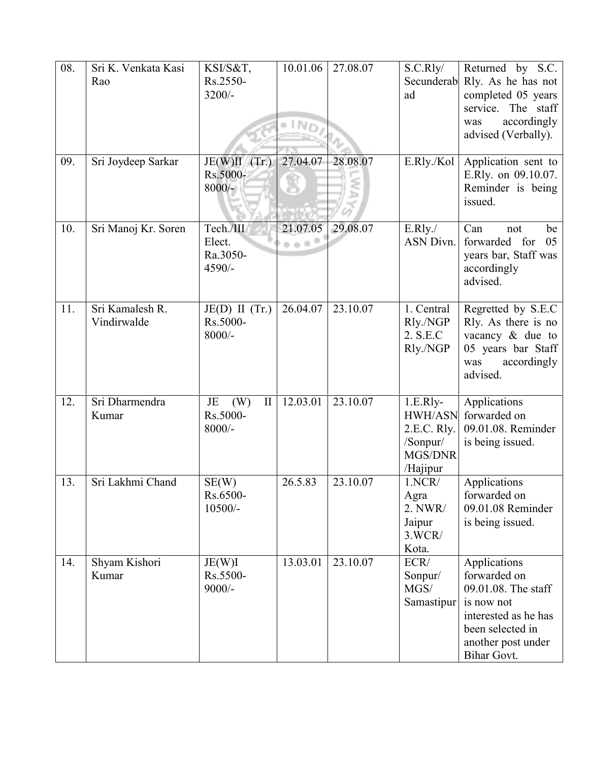| 08. | Sri K. Venkata Kasi<br>Rao     | KSI/S&T,<br>Rs.2550-<br>$3200/-$                  | 10.01.06                         | 27.08.07 | S.C.Rly/<br>ad                                                                 | Returned by S.C.<br>Secunderab Rly. As he has not<br>completed 05 years<br>service. The staff<br>accordingly<br>was<br>advised (Verbally).         |
|-----|--------------------------------|---------------------------------------------------|----------------------------------|----------|--------------------------------------------------------------------------------|----------------------------------------------------------------------------------------------------------------------------------------------------|
| 09. | Sri Joydeep Sarkar             | $JE(W)II$ (Tr.)<br>Rs.5000-<br>$8000/-$           | 27.04.07                         | 28.08.07 | E.Rly./Kol                                                                     | Application sent to<br>E.Rly. on 09.10.07.<br>Reminder is being<br>issued.                                                                         |
| 10. | Sri Manoj Kr. Soren            | Tech./III<br>Elect.<br>Ra.3050-<br>4590/-         | 21.07.05<br>$0.0 -$ <sup>0</sup> | 29.08.07 | E.Rly.<br><b>ASN Divn.</b>                                                     | Can<br>not<br>be<br>forwarded for<br>05<br>years bar, Staff was<br>accordingly<br>advised.                                                         |
| 11. | Sri Kamalesh R.<br>Vindirwalde | $JE(D)$ II (Tr.)<br>Rs.5000-<br>$8000/-$          | 26.04.07                         | 23.10.07 | 1. Central<br>Rly./NGP<br>2. S.E.C<br>Rly./NGP                                 | Regretted by S.E.C<br>Rly. As there is no<br>vacancy $\&$ due to<br>05 years bar Staff<br>accordingly<br>was<br>advised.                           |
| 12. | Sri Dharmendra<br>Kumar        | JE<br>(W)<br>$\mathbf{I}$<br>Rs.5000-<br>$8000/-$ | 12.03.01                         | 23.10.07 | $1.E.Rly-$<br><b>HWH/ASN</b><br>2.E.C. Rly.<br>/Sonpur/<br>MGS/DNR<br>/Hajipur | Applications<br>forwarded on<br>09.01.08. Reminder<br>is being issued.                                                                             |
| 13. | Sri Lakhmi Chand               | SE(W)<br>Rs.6500-<br>$10500/-$                    | 26.5.83                          | 23.10.07 | 1.NCR/<br>Agra<br>2. NWR/<br>Jaipur<br>3.WCR/<br>Kota.                         | Applications<br>forwarded on<br>09.01.08 Reminder<br>is being issued.                                                                              |
| 14. | Shyam Kishori<br>Kumar         | JE(W)I<br>Rs.5500-<br>$9000/-$                    | 13.03.01                         | 23.10.07 | ECR/<br>Sonpur/<br>MGS/<br>Samastipur                                          | Applications<br>forwarded on<br>09.01.08. The staff<br>is now not<br>interested as he has<br>been selected in<br>another post under<br>Bihar Govt. |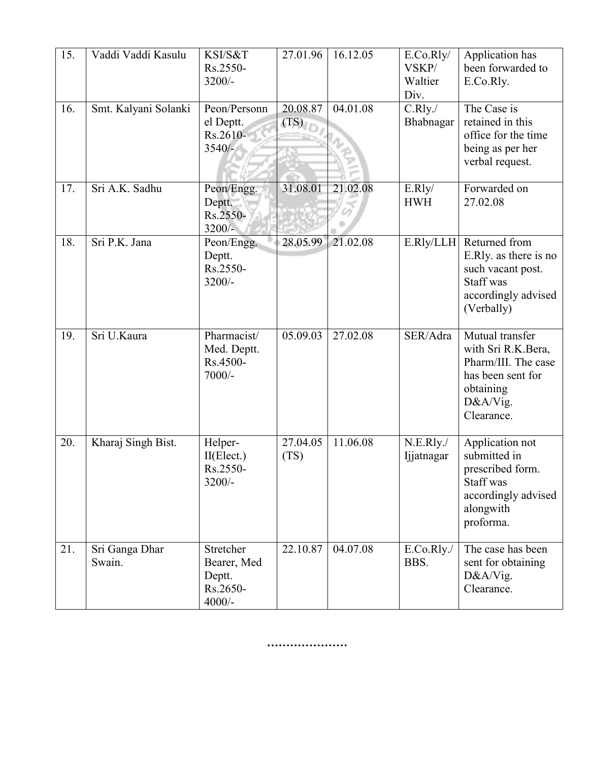| 15. | Vaddi Vaddi Kasulu       | KSI/S&T<br>Rs.2550-<br>3200/-                              | 27.01.96         | 16.12.05 | E.Co.Rly/<br>VSKP/<br>Waltier<br>Div. | Application has<br>been forwarded to<br>E.Co.Rly.                                                                        |
|-----|--------------------------|------------------------------------------------------------|------------------|----------|---------------------------------------|--------------------------------------------------------------------------------------------------------------------------|
| 16. | Smt. Kalyani Solanki     | Peon/Personn<br>el Deptt.<br>Rs.2610-<br>$3540/-$          | 20.08.87<br>(TS) | 04.01.08 | C.Rly.<br>Bhabnagar                   | The Case is<br>retained in this<br>office for the time<br>being as per her<br>verbal request.                            |
| 17. | Sri A.K. Sadhu           | Peon/Engg.<br>Deptt.<br>Rs.2550-<br>3200/-                 | 31.08.01         | 21.02.08 | E.Rly/<br><b>HWH</b>                  | Forwarded on<br>27.02.08                                                                                                 |
| 18. | Sri P.K. Jana            | Peon/Engg.<br>Deptt.<br>Rs.2550-<br>3200/-                 | 28.05.99         | 21.02.08 | E.Rly/LLH                             | Returned from<br>E.Rly. as there is no<br>such vacant post.<br>Staff was<br>accordingly advised<br>(Verbally)            |
| 19. | Sri U.Kaura              | Pharmacist/<br>Med. Deptt.<br>Rs.4500-<br>$7000/-$         | 05.09.03         | 27.02.08 | SER/Adra                              | Mutual transfer<br>with Sri R.K.Bera,<br>Pharm/III. The case<br>has been sent for<br>obtaining<br>D&A/Vig.<br>Clearance. |
| 20. | Kharaj Singh Bist.       | Helper-<br>II(Elect.)<br>Rs.2550-<br>3200/-                | 27.04.05<br>(TS) | 11.06.08 | N.E.Rly.<br>Ijjatnagar                | Application not<br>submitted in<br>prescribed form.<br>Staff was<br>accordingly advised<br>alongwith<br>proforma.        |
| 21. | Sri Ganga Dhar<br>Swain. | Stretcher<br>Bearer, Med<br>Deptt.<br>Rs.2650-<br>$4000/-$ | 22.10.87         | 04.07.08 | E.Co.Rly./<br>BBS.                    | The case has been<br>sent for obtaining<br>D&A/Vig.<br>Clearance.                                                        |

**…………………**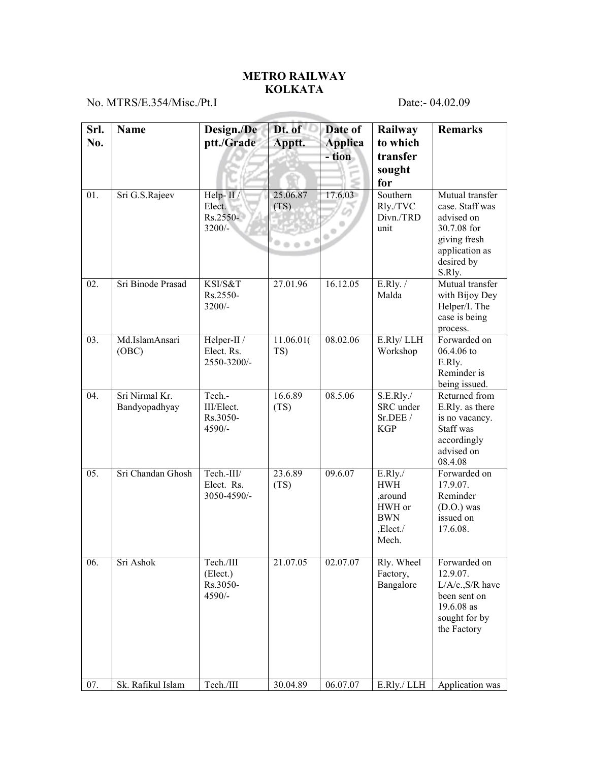## **METRO RAILWAY KOLKATA**

No. MTRS/E.354/Misc./Pt.I Date:- 04.02.09

| Srl.<br>No. | <b>Name</b>                     | Design./De<br>ptt./Grade                      | Dt. of<br>Apptt. | Date of<br><b>Applica</b><br>- tion | Railway<br>to which<br>transfer<br>sought<br>for                              | <b>Remarks</b>                                                                                                            |
|-------------|---------------------------------|-----------------------------------------------|------------------|-------------------------------------|-------------------------------------------------------------------------------|---------------------------------------------------------------------------------------------------------------------------|
| 01.         | Sri G.S.Rajeev                  | Help-II/<br>Elect.<br>Rs.2550-<br>$3200/-$    | 25.06.87<br>(TS) | 17.6.03<br>$\alpha$                 | Southern<br>Rly./TVC<br>Divn./TRD<br>unit                                     | Mutual transfer<br>case. Staff was<br>advised on<br>30.7.08 for<br>giving fresh<br>application as<br>desired by<br>S.Rly. |
| 02.         | Sri Binode Prasad               | KSI/S&T<br>Rs.2550-<br>3200/-                 | 27.01.96         | 16.12.05                            | $E.Rly.$ /<br>Malda                                                           | Mutual transfer<br>with Bijoy Dey<br>Helper/I. The<br>case is being<br>process.                                           |
| 03.         | Md.IslamAnsari<br>(OBC)         | Helper-II /<br>Elect. Rs.<br>2550-3200/-      | 11.06.01(<br>TS) | 08.02.06                            | E.Rly/LLH<br>Workshop                                                         | Forwarded on<br>06.4.06 to<br>E.Rly.<br>Reminder is<br>being issued.                                                      |
| 04.         | Sri Nirmal Kr.<br>Bandyopadhyay | Tech.-<br>III/Elect.<br>Rs.3050-<br>4590/-    | 16.6.89<br>(TS)  | 08.5.06                             | S.E.Rly.<br>SRC under<br>Sr.DEE /<br><b>KGP</b>                               | Returned from<br>E.Rly. as there<br>is no vacancy.<br>Staff was<br>accordingly<br>advised on<br>08.4.08                   |
| 05.         | Sri Chandan Ghosh               | Tech.-III/<br>Elect. Rs.<br>3050-4590/-       | 23.6.89<br>(TS)  | 09.6.07                             | E.Rly./<br><b>HWH</b><br>,around<br>HWH or<br><b>BWN</b><br>,Elect./<br>Mech. | Forwarded on<br>17.9.07.<br>Reminder<br>$(D.O.)$ was<br>issued on<br>17.6.08.                                             |
| 06.         | Sri Ashok                       | Tech./III<br>(Elect.)<br>Rs.3050-<br>$4590/-$ | 21.07.05         | 02.07.07                            | Rly. Wheel<br>Factory,<br>Bangalore                                           | Forwarded on<br>12.9.07.<br>$L/A/c$ ., $S/R$ have<br>been sent on<br>19.6.08 as<br>sought for by<br>the Factory           |
| 07.         | Sk. Rafikul Islam               | Tech./III                                     | 30.04.89         | 06.07.07                            | E.Rly./ LLH                                                                   | Application was                                                                                                           |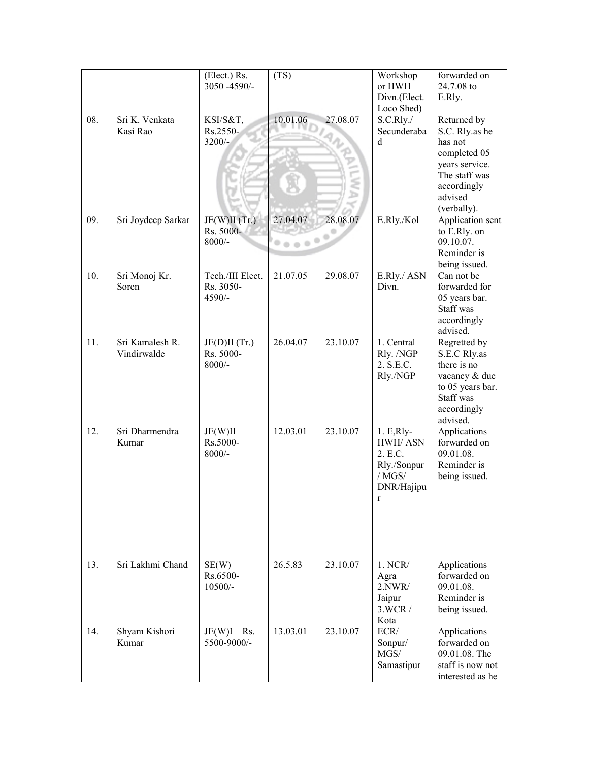|     |                                | (Elect.) Rs.<br>3050 -4590/-            | (TS)              |          | Workshop<br>or HWH<br>Divn.(Elect.<br>Loco Shed)                                  | forwarded on<br>24.7.08 to<br>E.Rly.                                                                                                 |
|-----|--------------------------------|-----------------------------------------|-------------------|----------|-----------------------------------------------------------------------------------|--------------------------------------------------------------------------------------------------------------------------------------|
| 08. | Sri K. Venkata<br>Kasi Rao     | KSI/S&T,<br>Rs.2550-<br>$3200/-$        | 10.01.06          | 27.08.07 | S.C.Rly./<br>Secunderaba<br>$\mathbf d$                                           | Returned by<br>S.C. Rly.as he<br>has not<br>completed 05<br>years service.<br>The staff was<br>accordingly<br>advised<br>(verbally). |
| 09. | Sri Joydeep Sarkar             | JE(W)II(Tr.)<br>Rs. 5000-<br>$8000/-$   | 27.04.07<br>0.0.0 | 28.08.07 | E.Rly./Kol                                                                        | Application sent<br>to E.Rly. on<br>09.10.07.<br>Reminder is<br>being issued.                                                        |
| 10. | Sri Monoj Kr.<br>Soren         | Tech./III Elect.<br>Rs. 3050-<br>4590/- | 21.07.05          | 29.08.07 | E.Rly./ ASN<br>Divn.                                                              | Can not be<br>forwarded for<br>05 years bar.<br>Staff was<br>accordingly<br>advised.                                                 |
| 11. | Sri Kamalesh R.<br>Vindirwalde | JE(D)II(Tr.)<br>Rs. 5000-<br>$8000/-$   | 26.04.07          | 23.10.07 | 1. Central<br>Rly. /NGP<br>2. S.E.C.<br>Rly./NGP                                  | Regretted by<br>S.E.C Rly.as<br>there is no<br>vacancy & due<br>to 05 years bar.<br>Staff was<br>accordingly<br>advised.             |
| 12. | Sri Dharmendra<br>Kumar        | JE(W)II<br>Rs.5000-<br>$8000/-$         | 12.03.01          | 23.10.07 | $1.E,Rly-$<br>HWH/ASN<br>2. E.C.<br>Rly./Sonpur<br>$/$ MGS $/$<br>DNR/Hajipu<br>r | Applications<br>forwarded on<br>09.01.08.<br>Reminder is<br>being issued.                                                            |
| 13. | Sri Lakhmi Chand               | SE(W)<br>Rs.6500-<br>$10500/-$          | 26.5.83           | 23.10.07 | 1. NCR/<br>Agra<br>2. NWR/<br>Jaipur<br>3.WCR/<br>Kota                            | <b>Applications</b><br>forwarded on<br>09.01.08.<br>Reminder is<br>being issued.                                                     |
| 14. | Shyam Kishori<br>Kumar         | $JE(W)I$ Rs.<br>5500-9000/-             | 13.03.01          | 23.10.07 | ECR/<br>Sonpur/<br>MGS/<br>Samastipur                                             | Applications<br>forwarded on<br>09.01.08. The<br>staff is now not<br>interested as he                                                |